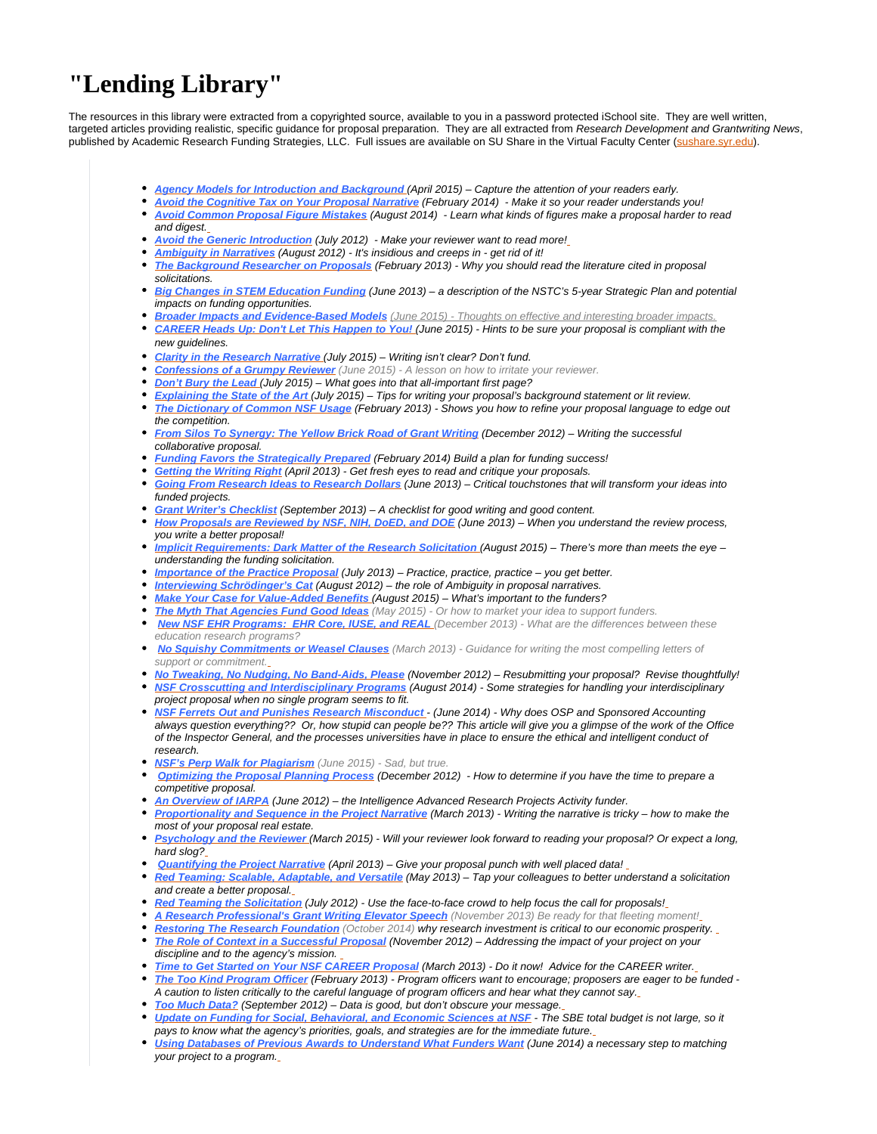## **"Lending Library"**

The resources in this library were extracted from a copyrighted source, available to you in a password protected iSchool site. They are well written, targeted articles providing realistic, specific guidance for proposal preparation. They are all extracted from Research Development and Grantwriting News, published by Academic Research Funding Strategies, LLC. Full issues are available on SU Share in the Virtual Faculty Center ([sushare.syr.edu](http://sushare.syr.edu)).

- **[Agency Models for Introduction and Background](https://answers.syr.edu/download/attachments/25265208/Agency.Models.for.Introduction.and.Background.Apr2015.pdf?version=1&modificationDate=1452537925000&api=v2) (April 2015) Capture the attention of your readers early.**
- **[Avoid the Cognitive Tax on Your Proposal Narrative](https://answers.syr.edu/download/attachments/25265208/AvoidCognitiveTax.onYourNarrative.Feb2014.pdf?version=2&modificationDate=1419874237000&api=v2)** (February 2014) Make it so your reader understands you!
- **[Avoid Common Proposal Figure Mistakes](https://answers.syr.edu/download/attachments/25265208/AvoidCommonProposalFigureMistakes.Aug2014.pdf?version=3&modificationDate=1419874761000&api=v2)** (August 2014) Learn what kinds of figures make a proposal harder to read and digest.
- **[Avoid the Generic Introduction](https://answers.syr.edu/download/attachments/25265208/AvoidtheGenericIntroduction.July2012.pdf?version=2&modificationDate=1419874817000&api=v2)** (July 2012) Make your reviewer want to read more[!](https://answers.syr.edu/download/attachments/25265208/FC.Ambiguity%20in%20Narratives.Aug12.pdf?version=1&modificationDate=1375979140000&api=v2)
- **[Ambiguity in Narratives](https://answers.syr.edu/download/attachments/25265208/FC.Ambiguity%20in%20Narratives.Aug12.pdf?version=1&modificationDate=1375979140000&api=v2)** (August 2012) It's insidious and creeps in get rid of it!
- **[The Background Researcher on Proposals](https://answers.syr.edu/download/attachments/25265208/The%20Background%20Researcher%20on%20Proposals.pdf?version=1&modificationDate=1365448210000&api=v2)** (February 2013) Why you should read the literature cited in proposal solicitations.
- **[Big Changes in STEM Education Funding](https://answers.syr.edu/download/attachments/25265208/BigChangesinSTEM%20EducationFunding.June13.pdf?version=1&modificationDate=1374000161000&api=v2)** (June 2013) a description of the NSTC's 5-year Strategic Plan and potential impacts on funding opportunities.
- **[Broader Impacts and Evidence-Based Models](https://answers.syr.edu/download/attachments/25265208/BroaderImpacts.and.EvidenceBasedModels.June%202015.pdf?version=1&modificationDate=1438199009000&api=v2)** (June 2015) Thoughts on effective and interesting broader impacts.
- **[CAREER Heads Up: Don't Let This Happen to You!](https://answers.syr.edu/download/attachments/25265208/CAREER.HeadsUp.DontLetThisHappenToYou.June-2015.pdf?version=1&modificationDate=1436376503000&api=v2)** (June 2015) Hints to be sure your proposal is compliant with the new guidelines.
- **[Clarity in the Research Narrative](https://answers.syr.edu/download/attachments/25265208/ClarityintheResearchNarrative.July2105.pdf?version=1&modificationDate=1452537966000&api=v2)** (July 2015) Writing isn't clear? Don't fund.
- **[Confessions of a Grumpy Reviewer](https://answers.syr.edu/download/attachments/25265208/Confessions.of.a.GrumpyReviewer.pdf?version=1&modificationDate=1438199211000&api=v2)** (June 2015) A lesson on how to irritate your reviewer.
- **[Don't Bury the Lead](https://answers.syr.edu/download/attachments/25265208/DontBuryTheLead.July2015.pdf?version=1&modificationDate=1452537991000&api=v2)** (July 2015) What goes into that all-important first page?
- **[Explaining the State of the Art](https://answers.syr.edu/download/attachments/25265208/Explaining.TheStateoftheArt.July2015.pdf?version=1&modificationDate=1452538005000&api=v2)** (July 2015) Tips for writing your proposal's background statement or lit review.
- **[The Dictionary of Common NSF Usage](https://answers.syr.edu/download/attachments/25265208/The%20Dictionary%20of%20Common%20NSF%20Usage.pdf?version=1&modificationDate=1365448233000&api=v2)** (February 2013) Shows you how to refine your proposal language to edge out the competition.
- **[From Silos To Synergy: The Yellow Brick Road of Grant Writing](https://answers.syr.edu/download/attachments/25265208/From%20Silos%20to%20SynergyDec12.pdf?version=1&modificationDate=1374001370000&api=v2)** (December 2012) Writing the successful collaborative proposal.
- **[Funding Favors the Strategically Prepared](https://answers.syr.edu/download/attachments/25265208/FundingFavorstheStrategicallyPrepared.Feb2014.pdf?version=1&modificationDate=1419007682000&api=v2) (February 2014) Build a plan for funding success!**
- **[Getting the Writing Right](https://answers.syr.edu/download/attachments/25265208/FC.Getting%20the%20Writing%20Right.Apr13.pdf?version=1&modificationDate=1384536412000&api=v2)** (April 2013) Get fresh eyes to read and critique your proposals.
- **[Going From Research Ideas to Research Dollars](https://answers.syr.edu/download/attachments/25265208/GoingFromResearch%20Ideas%20to%20Research%20Dollars.June13.pdf?version=1&modificationDate=1374000185000&api=v2)** (June 2013) Critical touchstones that will transform your ideas into funded projects.
- **[Grant Writer's Checklist](https://answers.syr.edu/download/attachments/25265208/FC.GrantWritersChecklist.Sept2013.pdf?version=1&modificationDate=1384536431000&api=v2)** (September 2013) A checklist for good writing and good content.
- **[How Proposals are Reviewed by NSF, NIH, DoED, and DOE](https://answers.syr.edu/download/attachments/25265208/How%20Proposals%20Are%20Reviewed%20by%20NSF.NIH.DoED.DOE.June13.pdf?version=1&modificationDate=1374000201000&api=v2)** (June 2013) When you understand the review process, you write a better proposal!
- **[Implicit Requirements: Dark Matter of the Research Solicitation](https://answers.syr.edu/download/attachments/25265208/ImplicitRequirements.DarkMatter.ofthe.ResearchSolicitation.Aug2015.pdf?version=1&modificationDate=1452538023000&api=v2)** (August 2015) There's more than meets the eye understanding the funding solicitation.
- **[Importance of the Practice Proposal](https://answers.syr.edu/download/attachments/25265208/FC.ImportanceofPracticeProposal.July2013.pdf?version=1&modificationDate=1384536454000&api=v2)** (July 2013) Practice, practice, practice you get better.
- **[Interviewing Schrödinger's Cat](https://answers.syr.edu/download/attachments/25265208/Ambiguity%20in%20Narratives.Aug12.pdf?version=1&modificationDate=1374001322000&api=v2) (August 2012) the role of Ambiguity in proposal narratives.**
- **[Make Your Case for Value-Added Benefits](https://answers.syr.edu/download/attachments/25265208/MakeYourCaseForValueAddedBenefits.Aug2015.pdf?version=1&modificationDate=1452538034000&api=v2)** (August 2015) What's important to the funders?
- **[The Myth That Agencies Fund Good Ideas](https://answers.syr.edu/download/attachments/25265208/TheMyth.that.Agencies.Fund.Good.Ideas.May2015.pdf?version=1&modificationDate=1438199460000&api=v2)** (May 2015) Or how to market your idea to support funders.
- **New NSF EHR Programs: EHR Core, IUSE, and REAL** (December 2013) What are the differences between these education research programs?
- **[No Squishy Commitments or Weasel Clauses](https://answers.syr.edu/download/attachments/25265208/FC.NoSquishyComments.pdf?version=1&modificationDate=1452538346000&api=v2)** (March 2013) Guidance for writing the most compelling letters of support or commitment.
- **[No Tweaking, No Nudging, No Band-Aids, Please](https://answers.syr.edu/download/attachments/25265208/FC.No%20Tweaking.Nov.12.pdf?version=1&modificationDate=1384536601000&api=v2)** (November 2012) Resubmitting your proposal? Revise thoughtfully!
- **[NSF Crosscutting and Interdisciplinary Programs](https://answers.syr.edu/download/attachments/25265208/NSFCrosscutting.and.InterdisciplinaryPrograms.Aug2014.pdf?version=1&modificationDate=1419874017000&api=v2)** (August 2014) Some strategies for handling your interdisciplinary project proposal when no single program seems to fit.
- **[NSF Ferrets Out and Punishes Research Misconduct](https://answers.syr.edu/download/attachments/25265208/NSF.FerretsOutResearchMisconduct.June2014.pdf?version=1&modificationDate=1417809943000&api=v2)**  (June 2014) Why does OSP and Sponsored Accounting always question everything?? Or, how stupid can people be?? This article will give you a glimpse of the work of the Office of the Inspector General, and the processes universities have in place to ensure the ethical and intelligent conduct of research.
- **[NSF's Perp Walk for Plagiarism](https://answers.syr.edu/download/attachments/25265208/NSFsPerpWalk.for.Plagiarism.June%202015.pdf?version=1&modificationDate=1438199529000&api=v2)** (June 2015) Sad, but true.
- **[Optimizing the Proposal Planning Process](https://answers.syr.edu/download/attachments/25265208/Optimizing%20Proposal%20PlanningDec.12.pdf?version=1&modificationDate=1419874144000&api=v2)** (December 2012) How to determine if you have the time to prepare a competitive proposal.
- **[An Overview of IARPA](https://answers.syr.edu/download/attachments/25265208/An%20Overview%20of%20IARPA.Jun12.pdf?version=1&modificationDate=1374000942000&api=v2)** (June 2012) the Intelligence Advanced Research Projects Activity funder.
- **[Proportionality and Sequence in the Project Narrative](https://answers.syr.edu/download/attachments/25265208/Narrative%20Proportionality%20and%20Sequence.pdf?version=1&modificationDate=1365448286000&api=v2)** (March 2013) Writing the narrative is tricky how to make the most of your proposal real estate.
- **[Psychology and the Reviewer](https://answers.syr.edu/download/attachments/25265208/Psychology%20and%20the%20Reviewer%20March%202015.pdf?version=1&modificationDate=1436376604000&api=v2)** (March 2015) Will your reviewer look forward to reading your proposal? Or expect a long, hard slog[?](https://answers.syr.edu/download/attachments/25265208/FC.Quantifying%20the%20Project%20Narrative.Apr13.pdf?version=1&modificationDate=1384536683000&api=v2)
- **[Quantifying the Project Narrative](https://answers.syr.edu/download/attachments/25265208/FC.Quantifying%20the%20Project%20Narrative.Apr13.pdf?version=1&modificationDate=1384536683000&api=v2)** (April 2013) Give your proposal punch with well placed data!
- **[Red Teaming: Scalable, Adaptable, and Versatile](https://answers.syr.edu/download/attachments/25265208/Red%20Teaming.Scalable.Adaptable.andVersatile.May13.pdf?version=1&modificationDate=1374000839000&api=v2)** (May 2013) Tap your colleagues to better understand a solicitation and create a better proposal.
- **[Red Teaming the Solicitation](https://answers.syr.edu/download/attachments/25265208/FC.RedTeamingtheSolicitation.July2012.pdf?version=1&modificationDate=1375979174000&api=v2)** (July 2012) Use the face-to-face crowd to help focus the call for proposals[!](https://answers.syr.edu/download/attachments/25265208/ResearchProfessionalsGrantWritingElevatorSpeech.Nov2013.pdf?version=1&modificationDate=1419008327000&api=v2)
- **[A Research Professional's Grant Writing Elevator Speech](https://answers.syr.edu/download/attachments/25265208/ResearchProfessionalsGrantWritingElevatorSpeech.Nov2013.pdf?version=1&modificationDate=1419008327000&api=v2)** (November 2013) Be ready for that fleeting moment[!](https://answers.syr.edu/download/attachments/25265208/RestoringTheResearchFoundation.Oct2014.pdf?version=1&modificationDate=1419005490000&api=v2)
- **[Restoring The Research Foundation](https://answers.syr.edu/download/attachments/25265208/RestoringTheResearchFoundation.Oct2014.pdf?version=1&modificationDate=1419005490000&api=v2)** (October 2014) why research investment is critical to our economic prosperity.
- **[The Role of Context in a Successful Proposal](https://answers.syr.edu/download/attachments/25265208/The%20Role%20of%20Context.Nov.12.pdf?version=1&modificationDate=1374001422000&api=v2)** (November 2012) Addressing the impact of your project on your discipline and to the agency's mission.
- **[Time to Get Started on Your NSF CAREER Proposal](https://answers.syr.edu/download/attachments/25265208/Start%20Writing%20the%20CAREER.pdf?version=1&modificationDate=1365448309000&api=v2)** (March 2013) Do it now! Advice for the CAREER writer[.](https://answers.syr.edu/download/attachments/25265208/The%20Too%20Kind%20Program%20Officer.pdf?version=1&modificationDate=1365448332000&api=v2) **[The Too Kind Program Officer](https://answers.syr.edu/download/attachments/25265208/The%20Too%20Kind%20Program%20Officer.pdf?version=1&modificationDate=1365448332000&api=v2)** (February 2013) - Program officers want to encourage; proposers are eager to be funded -
- A caution to listen critically to the careful language of program officers and hear what they cannot say[.](https://answers.syr.edu/download/attachments/25265208/FC.TooMuchData.Sep2012.pdf?version=1&modificationDate=1384536781000&api=v2)
- **[Too Much Data?](https://answers.syr.edu/download/attachments/25265208/FC.TooMuchData.Sep2012.pdf?version=1&modificationDate=1384536781000&api=v2)** (September 2012) Data is good, but don't obscure your message[.](https://answers.syr.edu/download/attachments/25265208/UpdateOnSBE.Nov2014.pdf?version=1&modificationDate=1417810221000&api=v2)
- **[Update on Funding for Social, Behavioral, and Economic Sciences at NSF](https://answers.syr.edu/download/attachments/25265208/UpdateOnSBE.Nov2014.pdf?version=1&modificationDate=1417810221000&api=v2)** The SBE total budget is not large, so it pays to know what the agency's priorities, goals, and strategies are for the immediate future.
- **[Using Databases of Previous Awards to Understand What Funders Want](https://answers.syr.edu/download/attachments/25265208/UsingDatabasesPreviousAwards.June2014.pdf?version=1&modificationDate=1419008224000&api=v2)** (June 2014) a necessary step to matching your project to a program.